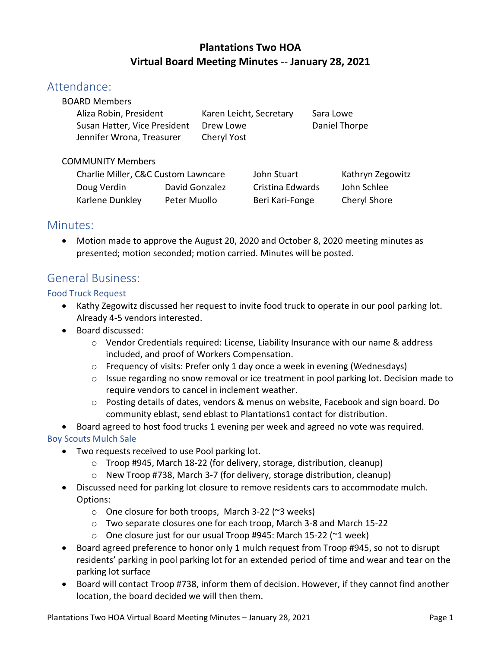## **Plantations Two HOA Virtual Board Meeting Minutes** -- **January 28, 2021**

## Attendance:

| Karen Leicht, Secretary | Sara Lowe     |
|-------------------------|---------------|
| Drew Lowe               | Daniel Thorpe |
| Cheryl Yost             |               |
|                         |               |

### COMMUNITY Members

| Charlie Miller, C&C Custom Lawncare |                | John Stuart      | Kathryn Zegowitz |
|-------------------------------------|----------------|------------------|------------------|
| Doug Verdin                         | David Gonzalez | Cristina Edwards | John Schlee      |
| Karlene Dunkley                     | Peter Muollo   | Beri Kari-Fonge  | Cheryl Shore     |

## Minutes:

• Motion made to approve the August 20, 2020 and October 8, 2020 meeting minutes as presented; motion seconded; motion carried. Minutes will be posted.

# General Business:

## Food Truck Request

- Kathy Zegowitz discussed her request to invite food truck to operate in our pool parking lot. Already 4-5 vendors interested.
- Board discussed:
	- $\circ$  Vendor Credentials required: License, Liability Insurance with our name & address included, and proof of Workers Compensation.
	- $\circ$  Frequency of visits: Prefer only 1 day once a week in evening (Wednesdays)
	- $\circ$  Issue regarding no snow removal or ice treatment in pool parking lot. Decision made to require vendors to cancel in inclement weather.
	- o Posting details of dates, vendors & menus on website, Facebook and sign board. Do community eblast, send eblast to Plantations1 contact for distribution.
- Board agreed to host food trucks 1 evening per week and agreed no vote was required.

## Boy Scouts Mulch Sale

- Two requests received to use Pool parking lot.
	- o Troop #945, March 18-22 (for delivery, storage, distribution, cleanup)
	- o New Troop #738, March 3-7 (for delivery, storage distribution, cleanup)
- Discussed need for parking lot closure to remove residents cars to accommodate mulch. Options:
	- o One closure for both troops, March 3-22 (~3 weeks)
	- o Two separate closures one for each troop, March 3-8 and March 15-22
	- $\circ$  One closure just for our usual Troop #945: March 15-22 (~1 week)
- Board agreed preference to honor only 1 mulch request from Troop #945, so not to disrupt residents' parking in pool parking lot for an extended period of time and wear and tear on the parking lot surface
- Board will contact Troop #738, inform them of decision. However, if they cannot find another location, the board decided we will then them.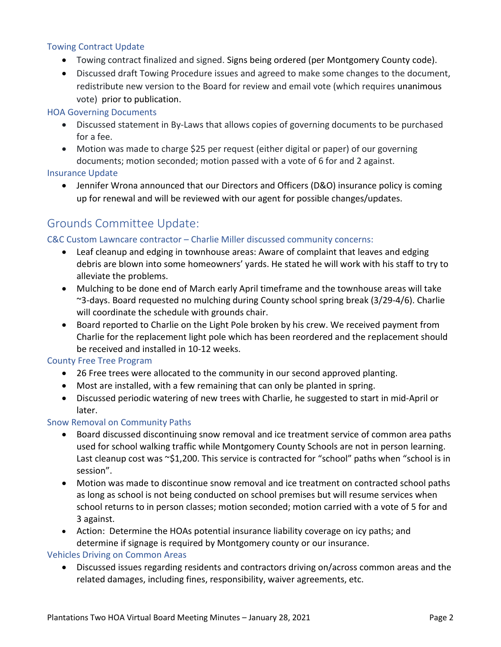#### Towing Contract Update

- Towing contract finalized and signed. Signs being ordered (per Montgomery County code).
- Discussed draft Towing Procedure issues and agreed to make some changes to the document, redistribute new version to the Board for review and email vote (which requires unanimous vote) prior to publication.

#### HOA Governing Documents

- Discussed statement in By-Laws that allows copies of governing documents to be purchased for a fee.
- Motion was made to charge \$25 per request (either digital or paper) of our governing documents; motion seconded; motion passed with a vote of 6 for and 2 against.

#### Insurance Update

• Jennifer Wrona announced that our Directors and Officers (D&O) insurance policy is coming up for renewal and will be reviewed with our agent for possible changes/updates.

# Grounds Committee Update:

#### C&C Custom Lawncare contractor – Charlie Miller discussed community concerns:

- Leaf cleanup and edging in townhouse areas: Aware of complaint that leaves and edging debris are blown into some homeowners' yards. He stated he will work with his staff to try to alleviate the problems.
- Mulching to be done end of March early April timeframe and the townhouse areas will take ~3-days. Board requested no mulching during County school spring break (3/29-4/6). Charlie will coordinate the schedule with grounds chair.
- Board reported to Charlie on the Light Pole broken by his crew. We received payment from Charlie for the replacement light pole which has been reordered and the replacement should be received and installed in 10-12 weeks.

#### County Free Tree Program

- 26 Free trees were allocated to the community in our second approved planting.
- Most are installed, with a few remaining that can only be planted in spring.
- Discussed periodic watering of new trees with Charlie, he suggested to start in mid-April or later.

#### Snow Removal on Community Paths

- Board discussed discontinuing snow removal and ice treatment service of common area paths used for school walking traffic while Montgomery County Schools are not in person learning. Last cleanup cost was ~\$1,200. This service is contracted for "school" paths when "school is in session".
- Motion was made to discontinue snow removal and ice treatment on contracted school paths as long as school is not being conducted on school premises but will resume services when school returns to in person classes; motion seconded; motion carried with a vote of 5 for and 3 against.
- Action: Determine the HOAs potential insurance liability coverage on icy paths; and determine if signage is required by Montgomery county or our insurance.

#### Vehicles Driving on Common Areas

• Discussed issues regarding residents and contractors driving on/across common areas and the related damages, including fines, responsibility, waiver agreements, etc.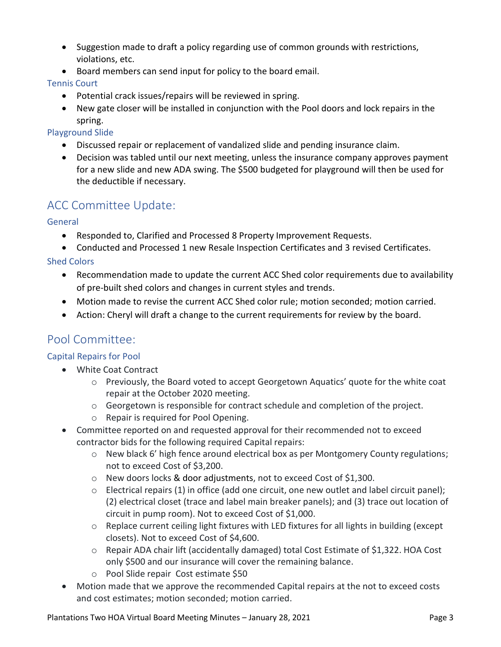- Suggestion made to draft a policy regarding use of common grounds with restrictions, violations, etc.
- Board members can send input for policy to the board email.

### Tennis Court

- Potential crack issues/repairs will be reviewed in spring.
- New gate closer will be installed in conjunction with the Pool doors and lock repairs in the spring.

## Playground Slide

- Discussed repair or replacement of vandalized slide and pending insurance claim.
- Decision was tabled until our next meeting, unless the insurance company approves payment for a new slide and new ADA swing. The \$500 budgeted for playground will then be used for the deductible if necessary.

# ACC Committee Update:

## General

- Responded to, Clarified and Processed 8 Property Improvement Requests.
- Conducted and Processed 1 new Resale Inspection Certificates and 3 revised Certificates.

## Shed Colors

- Recommendation made to update the current ACC Shed color requirements due to availability of pre-built shed colors and changes in current styles and trends.
- Motion made to revise the current ACC Shed color rule; motion seconded; motion carried.
- Action: Cheryl will draft a change to the current requirements for review by the board.

# Pool Committee:

## Capital Repairs for Pool

- White Coat Contract
	- o Previously, the Board voted to accept Georgetown Aquatics' quote for the white coat repair at the October 2020 meeting.
	- $\circ$  Georgetown is responsible for contract schedule and completion of the project.
	- o Repair is required for Pool Opening.
- Committee reported on and requested approval for their recommended not to exceed contractor bids for the following required Capital repairs:
	- o New black 6' high fence around electrical box as per Montgomery County regulations; not to exceed Cost of \$3,200.
	- o New doors locks & door adjustments, not to exceed Cost of \$1,300.
	- $\circ$  Electrical repairs (1) in office (add one circuit, one new outlet and label circuit panel); (2) electrical closet (trace and label main breaker panels); and (3) trace out location of circuit in pump room). Not to exceed Cost of \$1,000.
	- o Replace current ceiling light fixtures with LED fixtures for all lights in building (except closets). Not to exceed Cost of \$4,600.
	- o Repair ADA chair lift (accidentally damaged) total Cost Estimate of \$1,322. HOA Cost only \$500 and our insurance will cover the remaining balance.
	- o Pool Slide repair Cost estimate \$50
- Motion made that we approve the recommended Capital repairs at the not to exceed costs and cost estimates; motion seconded; motion carried.